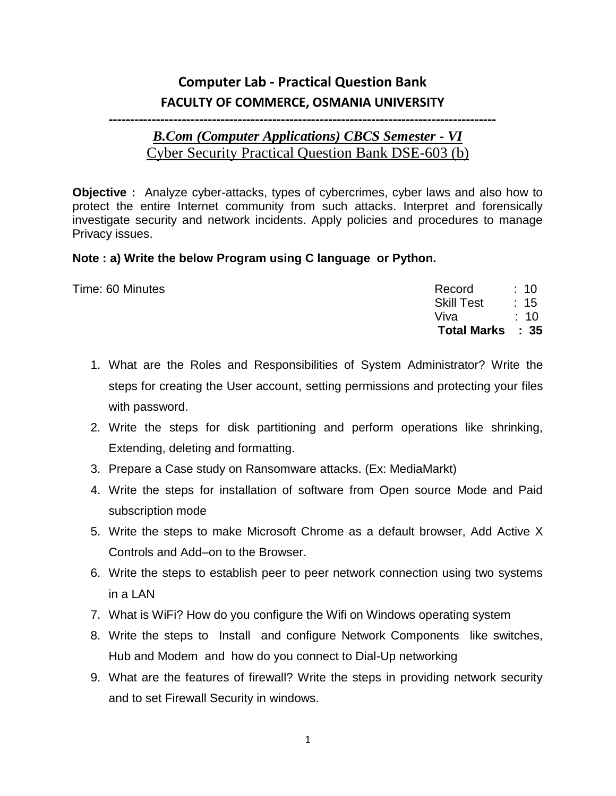## **Computer Lab - Practical Question Bank FACULTY OF COMMERCE, OSMANIA UNIVERSITY**

## **------------------------------------------------------------------------------------------**

## *B.Com (Computer Applications) CBCS Semester - VI* Cyber Security Practical Question Bank DSE-603 (b)

**Objective :** Analyze cyber-attacks, types of cybercrimes, cyber laws and also how to protect the entire Internet community from such attacks. Interpret and forensically investigate security and network incidents. Apply policies and procedures to manage Privacy issues.

## **Note : a) Write the below Program using C language or Python.**

|                  | Total Marks : 35 |                 |
|------------------|------------------|-----------------|
|                  | Viva             | $\therefore$ 10 |
|                  | Skill Test : 15  |                 |
| Time: 60 Minutes | Record: 10       |                 |
|                  |                  |                 |

- 1. What are the Roles and Responsibilities of System Administrator? Write the steps for creating the User account, setting permissions and protecting your files with password.
- 2. Write the steps for disk partitioning and perform operations like shrinking, Extending, deleting and formatting.
- 3. Prepare a Case study on Ransomware attacks. (Ex: MediaMarkt)
- 4. Write the steps for installation of software from Open source Mode and Paid subscription mode
- 5. Write the steps to make Microsoft Chrome as a default browser, Add Active X Controls and Add–on to the Browser.
- 6. Write the steps to establish peer to peer network connection using two systems in a LAN
- 7. What is WiFi? How do you configure the Wifi on Windows operating system
- 8. Write the steps to Install and configure Network Components like switches, Hub and Modem and how do you connect to Dial-Up networking
- 9. What are the features of firewall? Write the steps in providing network security and to set Firewall Security in windows.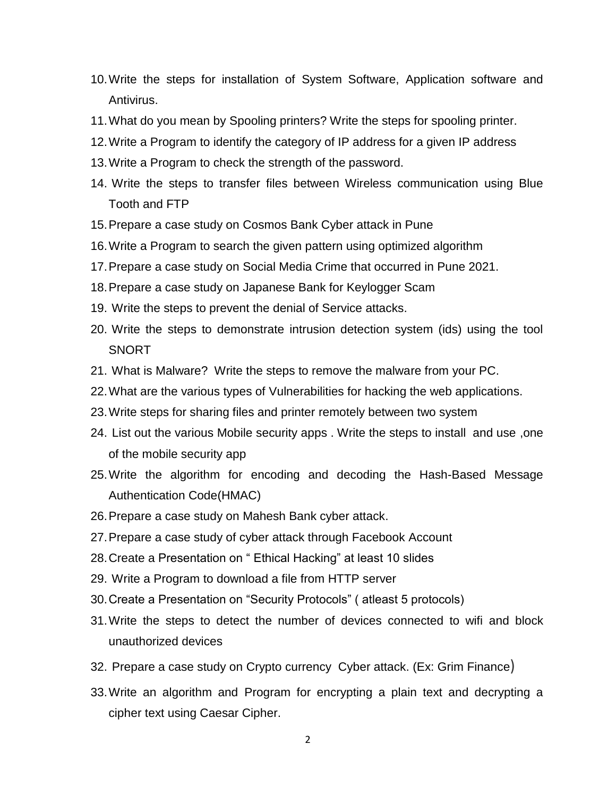- 10.Write the steps for installation of System Software, Application software and Antivirus.
- 11.What do you mean by Spooling printers? Write the steps for spooling printer.
- 12.Write a Program to identify the category of IP address for a given IP address
- 13.Write a Program to check the strength of the password.
- 14. Write the steps to transfer files between Wireless communication using Blue Tooth and FTP
- 15.Prepare a case study on Cosmos Bank Cyber attack in Pune
- 16.Write a Program to search the given pattern using optimized algorithm
- 17.Prepare a case study on Social Media Crime that occurred in Pune 2021.
- 18.Prepare a case study on Japanese Bank for Keylogger Scam
- 19. Write the steps to prevent the denial of Service attacks.
- 20. Write the steps to demonstrate intrusion detection system (ids) using the tool SNORT
- 21. What is Malware? Write the steps to remove the malware from your PC.
- 22.What are the various types of Vulnerabilities for hacking the web applications.
- 23.Write steps for sharing files and printer remotely between two system
- 24. List out the various Mobile security apps . Write the steps to install and use ,one of the mobile security app
- 25.Write the algorithm for encoding and decoding the Hash-Based Message Authentication Code(HMAC)
- 26.Prepare a case study on Mahesh Bank cyber attack.
- 27.Prepare a case study of cyber attack through Facebook Account
- 28.Create a Presentation on " Ethical Hacking" at least 10 slides
- 29. Write a Program to download a file from HTTP server
- 30.Create a Presentation on "Security Protocols" ( atleast 5 protocols)
- 31.Write the steps to detect the number of devices connected to wifi and block unauthorized devices
- 32. Prepare a case study on Crypto currency Cyber attack. (Ex: Grim Finance)
- 33.Write an algorithm and Program for encrypting a plain text and decrypting a cipher text using Caesar Cipher.